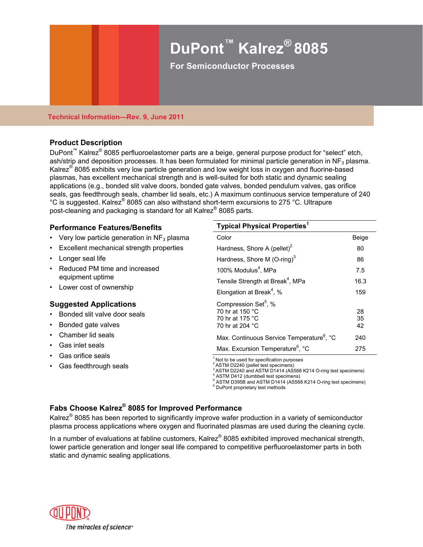# **DuPont™ Kalrez® 8085**

**For Semiconductor Processes** 

#### **Technical Information—Rev. 9, June 2011**

# **Product Description**

DuPont<sup>™</sup> Kalrez<sup>®</sup> 8085 perfluoroelastomer parts are a beige, general purpose product for "select" etch, ash/strip and deposition processes. It has been formulated for minimal particle generation in NF<sub>3</sub> plasma. Kalrez<sup>®</sup> 8085 exhibits very low particle generation and low weight loss in oxygen and fluorine-based plasmas, has excellent mechanical strength and is well-suited for both static and dynamic sealing applications (e.g., bonded slit valve doors, bonded gate valves, bonded pendulum valves, gas orifice seals, gas feedthrough seals, chamber lid seals, etc.) A maximum continuous service temperature of 240 °C is suggested. Kalrez® 8085 can also withstand short-term excursions to 275 °C. Ultrapure post-cleaning and packaging is standard for all Kalrez® 8085 parts.

# **Performance Features/Benefits**

- Very low particle generation in  $NF<sub>3</sub>$  plasma
- Excellent mechanical strength properties
- Longer seal life
- Reduced PM time and increased equipment uptime
- Lower cost of ownership

# **Suggested Applications**

- Bonded slit valve door seals
- Bonded gate valves
- Chamber lid seals
- Gas inlet seals
- 
- Gas feedthrough seals

#### **Typical Physical Properties<sup>1</sup>**

| Color                                                                                     | Beige          |
|-------------------------------------------------------------------------------------------|----------------|
| Hardness, Shore A (pellet) <sup>2</sup>                                                   | 80             |
| Hardness, Shore M $(O\text{-ring})^3$                                                     | 86             |
| 100% Modulus <sup>4</sup> , MPa                                                           | 7.5            |
| Tensile Strength at Break <sup>4</sup> , MPa                                              | 16.3           |
| Elongation at Break <sup>4</sup> , %                                                      | 159            |
| Compression Set <sup>5</sup> , %<br>70 hr at 150 °C<br>70 hr at 175 °C<br>70 hr at 204 °C | 28<br>35<br>42 |
| Max. Continuous Service Temperature <sup>6</sup> , °C                                     | 240            |
| Max. Excursion Temperature <sup>6</sup> , °C                                              | 275            |

Gas orifice seals 1 Not to be used for specification purposes

<sup>2</sup> ASTM D2240 (pellet test specimens)

3 ASTM D2240 and ASTM D1414 (AS568 K214 O-ring test specimens) 4

<sup>4</sup> ASTM D412 (dumbbell test specimens)<br><sup>5</sup> ASTM D395B and ASTM D1414 (AS568 K214 O-ring test specimens)

<sup>6</sup> DuPont proprietary test methods

# **Fabs Choose Kalrez® 8085 for Improved Performance**

Kalrez<sup>®</sup> 8085 has been reported to significantly improve wafer production in a variety of semiconductor plasma process applications where oxygen and fluorinated plasmas are used during the cleaning cycle.

In a number of evaluations at fabline customers, Kalrez® 8085 exhibited improved mechanical strength, lower particle generation and longer seal life compared to competitive perfluoroelastomer parts in both static and dynamic sealing applications.